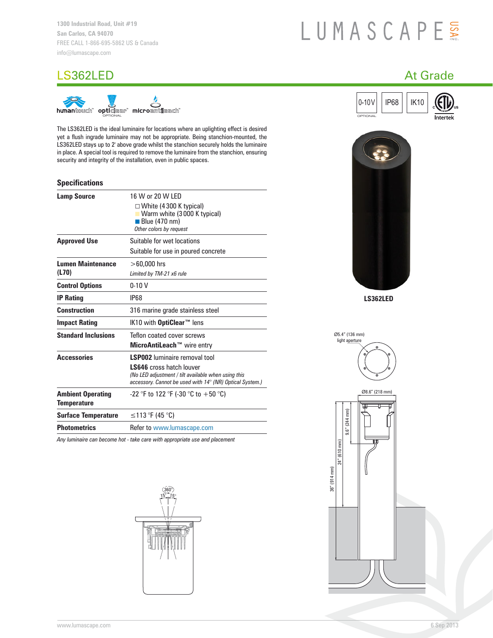# LUMASCAPE

# LS362LED At Grade At Grade At Grade At Grade At Grade At Grade At Grade At Grade At Grade At Grade At Grade At Grade At Grade At Grade At Grade At Grade At Grade At Grade At Grade At Grade At Grade At Grade At Grade At Gra



The LS362LED is the ideal luminaire for locations where an uplighting effect is desired yet a flush ingrade luminaire may not be appropriate. Being stanchion-mounted, the LS362LED stays up to 2' above grade whilst the stanchion securely holds the luminaire in place. A special tool is required to remove the luminaire from the stanchion, ensuring security and integrity of the installation, even in public spaces.

# **Specifications**

| <b>Lamp Source</b>                             | 16 W or 20 W LED<br>$\Box$ White (4 300 K typical)<br><b>No. 7</b> Warm white (3000 K typical)<br>Blue $(470 \text{ nm})$<br>Other colors by request                                       |
|------------------------------------------------|--------------------------------------------------------------------------------------------------------------------------------------------------------------------------------------------|
| <b>Approved Use</b>                            | Suitable for wet locations<br>Suitable for use in poured concrete                                                                                                                          |
| <b>Lumen Maintenance</b><br>(L70)              | $>60,000$ hrs<br>Limited by TM-21 x6 rule                                                                                                                                                  |
| <b>Control Options</b>                         | $0-10V$                                                                                                                                                                                    |
| <b>IP Rating</b>                               | <b>IP68</b>                                                                                                                                                                                |
| <b>Construction</b>                            | 316 marine grade stainless steel                                                                                                                                                           |
| <b>Impact Rating</b>                           | IK10 with OptiClear <sup>™</sup> lens                                                                                                                                                      |
| <b>Standard Inclusions</b>                     | Teflon coated cover screws<br>MicroAntiLeach™ wire entry                                                                                                                                   |
| <b>Accessories</b>                             | <b>LSP002</b> luminaire removal tool<br><b>LS646</b> cross hatch louver<br>(No LED adjustment / tilt available when using this<br>accessory. Cannot be used with 14° (NR) Optical System.) |
| <b>Ambient Operating</b><br><b>Temperature</b> | -22 °F to 122 °F (-30 °C to +50 °C)                                                                                                                                                        |
| <b>Surface Temperature</b>                     | ≤113 °F (45 °C)                                                                                                                                                                            |
| <b>Photometrics</b>                            | Refer to www.lumascape.com                                                                                                                                                                 |

*Any luminaire can become hot - take care with appropriate use and placement*







**LS362LED**

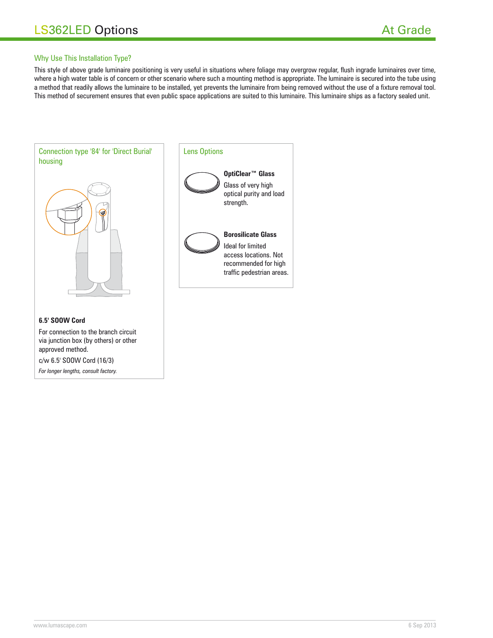# Why Use This Installation Type?

This style of above grade luminaire positioning is very useful in situations where foliage may overgrow regular, flush ingrade luminaires over time, where a high water table is of concern or other scenario where such a mounting method is appropriate. The luminaire is secured into the tube using a method that readily allows the luminaire to be installed, yet prevents the luminaire from being removed without the use of a fixture removal tool. This method of securement ensures that even public space applications are suited to this luminaire. This luminaire ships as a factory sealed unit.



*For longer lengths, consult factory.*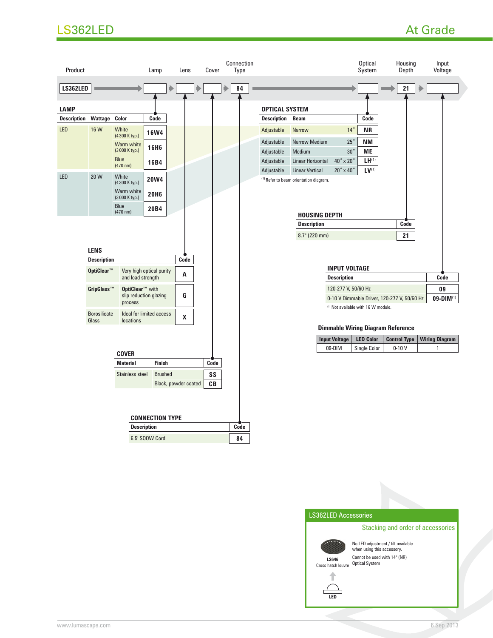# LS362LED At Grade



LS362LED Accessories

Stacking and order of accessories



No LED adjustment / tilt available when using this accessory. Cannot be used with 14° (NR)



Cross hatch louvre Optical System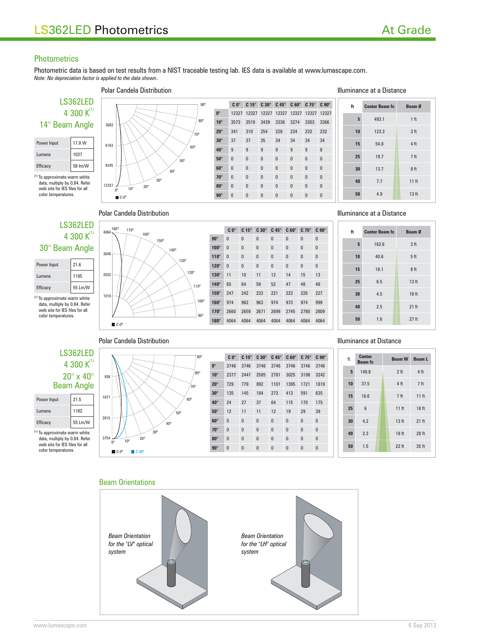# **Photometrics**

Photometric data is based on test results from a NIST traceable testing lab. IES data is available at www.lumascape.com. *Note: No depreciation factor is applied to the data shown*.

80º

90º



data, multiply by 0.84. Refer web site for IES files for all color temperatures.



# **C 0° C 15° C 30° C 45° C 60° C 75° C 90° 0°** 12327 12327 12327 12327 12327 12327 12327 **10°** 3573 3519 3439 3336 3274 3303 3366 **20°** 341 310 254 228 224 232 232 **30°** 37 37 35 34 34 34 34 **40°** 9999998 **50°** 0000000 **60°** 0000000 **70°** 0000000 **80°** 0 0 0 0 0 0 0 0 **90°** 0 0 0 0 0 0 0 0

### Polar Candela Distribution **Illuminance at a Distance**



# Polar Candela Distribution **Illuminance** at a Distance



data, multiply by 0.84. Refer web site for IES files for all color temperatures.

| 180°<br>4064,      | 170°                |             | $C_0^\circ$  | $C 15^\circ$ | $C30^\circ$  | $C45^\circ$  | $C 60^\circ$ | $C$ 75 $^{\circ}$ | $C90^\circ$  |
|--------------------|---------------------|-------------|--------------|--------------|--------------|--------------|--------------|-------------------|--------------|
|                    | 160°<br>$150^\circ$ | $90^\circ$  | $\mathbf{0}$ | $\bf{0}$     | $\bf{0}$     | $\pmb{0}$    | $\mathbf{0}$ | $\bf{0}$          | $\mathbf{0}$ |
|                    | 140°                | $100^\circ$ | $\mathbf{0}$ | $\bf{0}$     | $\mathbf{0}$ | $\pmb{0}$    | $\mathbf{0}$ | $\pmb{0}$         | $\mathbf{0}$ |
| 3048               | 130°                | $110^\circ$ | $\mathbf{0}$ | $\bf{0}$     | $\mathbf{0}$ | $\mathbf{0}$ | $\mathbf{0}$ | $\mathbf{0}$      | $\mathbf{0}$ |
|                    |                     | $120^\circ$ | $\mathbf{0}$ | $\bf{0}$     | $\mathbf 0$  | $\pmb{0}$    | $\pmb{0}$    | $\bf{0}$          | $\bf{0}$     |
| 2032               | 120°                | $130^\circ$ | 11           | 10           | 11           | 12           | 14           | 15                | 13           |
|                    | 110 <sup>°</sup>    | $140^\circ$ | 65           | 64           | 59           | 52           | 47           | 48                | 48           |
| 1016               |                     | $150^\circ$ | 247          | 242          | 233          | 221          | 223          | 226               | 227          |
|                    | 100°                | $160^\circ$ | 974          | 962          | 963          | 974          | 973          | 974               | 999          |
|                    | $90^\circ$          | $170^\circ$ | 2660         | 2659         | 2671         | 2699         | 2745         | 2780              | 2809         |
| $C-0$ <sup>o</sup> |                     | $180^\circ$ | 4064         | 4064         | 4064         | 4064         | 4064         | 4064              | 4064         |

| ft | <b>Center Beam fc</b> | Beam Ø           |
|----|-----------------------|------------------|
| 5  | 162.6                 | 3 <sub>ft</sub>  |
| 10 | 40.6                  | 5 <sub>ft</sub>  |
| 15 | 18.1                  | 8 <sub>ft</sub>  |
| 25 | 6.5                   | 13 <sub>ft</sub> |
| 30 | 4.5                   | 16 ft            |
| 40 | 2.5                   | $21$ ft          |
| 50 | 1.6                   | $27$ ft          |

## Polar Candela Distribution **Illuminance at Distance**



| Power Input | 21.5    |  |  |  |  |
|-------------|---------|--|--|--|--|
| Lumens      | 1182    |  |  |  |  |
| Efficacy    | 55 Lm/W |  |  |  |  |

(1) To approximate warm white data, multiply by 0.84. Refer web site for IES files for all color temperatures.



| $90^\circ$                      |              | $C_0^\circ$  | $C 15^\circ$ | $C30^\circ$  | $C$ 45 $^{\circ}$ | $C 60^\circ$ | $C75^\circ$  | $C90^\circ$  |
|---------------------------------|--------------|--------------|--------------|--------------|-------------------|--------------|--------------|--------------|
|                                 | $0^\circ$    | 3746         | 3746         | 3746         | 3746              | 3746         | 3746         | 3746         |
| $80^\circ$                      | $10^{\circ}$ | 2377         | 2447         | 2585         | 2781              | 3025         | 3198         | 3242         |
| 70°                             | $20^\circ$   | 729          | 779          | 892          | 1101              | 1395         | 1721         | 1819         |
|                                 | $30^\circ$   | 135          | 145          | 184          | 273               | 413          | 591          | 635          |
| $60^\circ$                      | $40^\circ$   | 24           | 27           | 37           | 64                | 115          | 170          | 175          |
| $50^\circ$                      | $50^\circ$   | 12           | 11           | 11           | 12                | 19           | 29           | 39           |
| 40°                             | $60^\circ$   | $\mathbf{0}$ | $\mathbf{0}$ | $\mathbf{0}$ | $\mathbf{0}$      | $\mathbf{0}$ | $\mathbf{0}$ | $\mathbf{0}$ |
| $30^\circ$                      | $70^\circ$   | $\mathbf{0}$ | $\mathbf{0}$ | $\pmb{0}$    | $\mathbf{0}$      | $\mathbf{0}$ | $\mathbf{0}$ | $\mathbf{0}$ |
| $20^{\circ}$<br>10 <sup>o</sup> | $80^\circ$   | $\mathbf{0}$ | $\mathbf{0}$ | $\mathbf{0}$ | $\mathbf{0}$      | $\mathbf{0}$ | $\mathbf{0}$ | $\mathbf{0}$ |
| $\Box C$ -90°<br>$c$ -0°        | $90^\circ$   | $\bf{0}$     | $\pmb{0}$    | $\pmb{0}$    | $\bf{0}$          | $\bf{0}$     | $\pmb{0}$    | $\pmb{0}$    |
|                                 |              |              |              |              |                   |              |              |              |

| ft | Center<br><b>Beam</b> fc | <b>Beam W</b>    | <b>Beam L</b>    |
|----|--------------------------|------------------|------------------|
| 5  | 149.8                    | 2 <sub>ft</sub>  | 4 ft             |
| 10 | 37.5                     | 4 ft             | 7 <sub>ft</sub>  |
| 15 | 16.6                     | 7 <sub>ft</sub>  | 11 <sub>ft</sub> |
| 25 | 6                        | $11$ ft          | 18 <sub>ft</sub> |
| 30 | 4.2                      | 13 <sub>ft</sub> | 21 ft            |
| 40 | 2.3                      | 18 ft            | 28 ft            |
| 50 | 1.5                      | $22$ ft          | 35 ft            |

## Beam Orientations